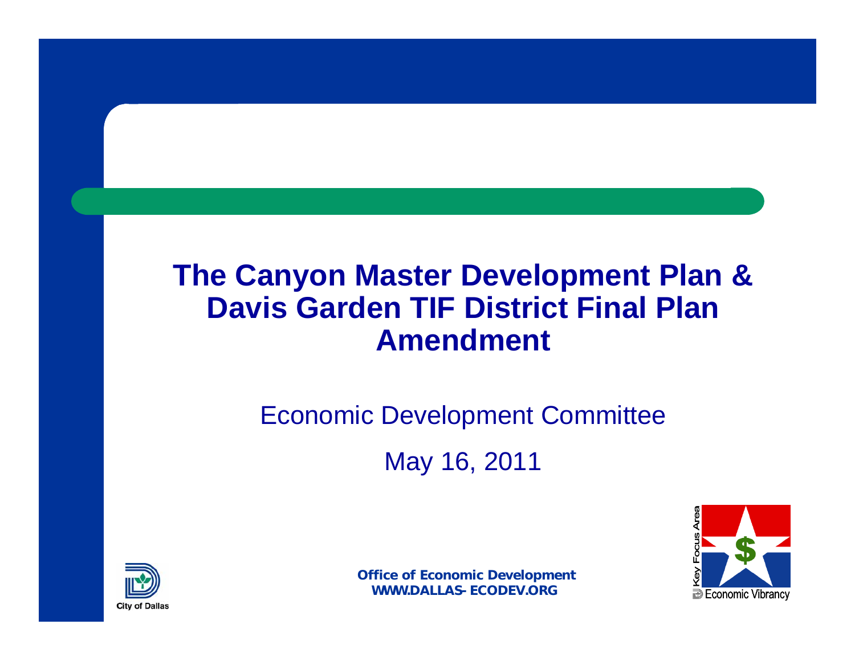#### **The Canyon Master Development Plan & Davis Garden TIF District Final Plan Amendment**

# Economic Development Committee May 16, 2011



1**B** Economic Vibrancy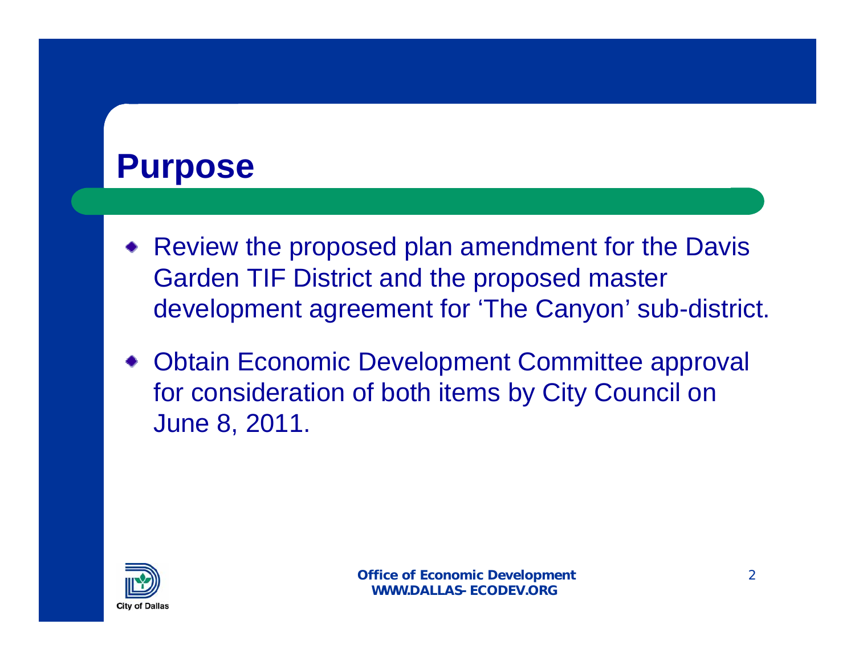## **Purpose**

- Review the proposed plan amendment for the Davis Garden TIF District and the proposed master development agreement for 'The Canyon' sub-district.
- Obtain Economic Development Committee approval for consideration of both items by City Council on June 8, 2011.

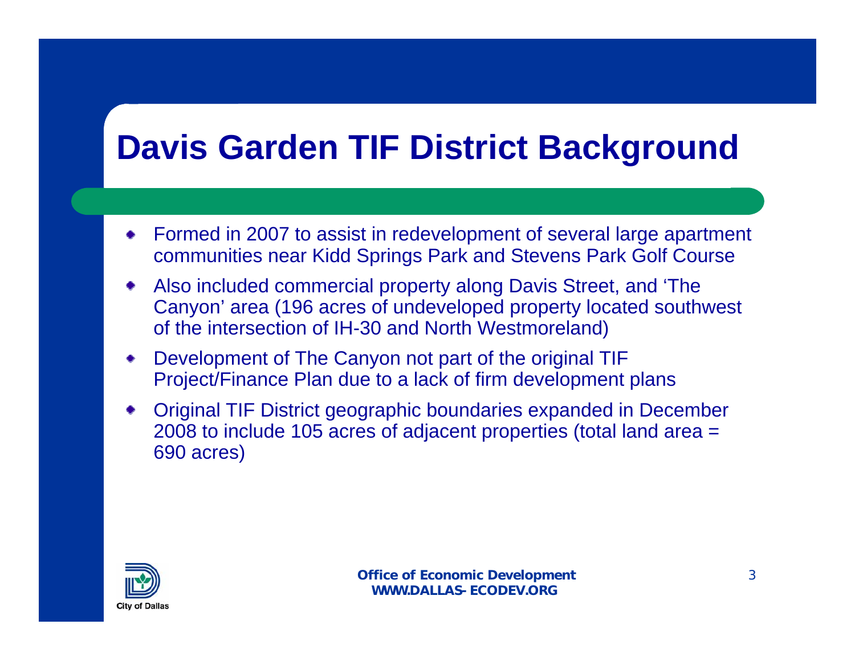# **Davis Garden TIF District Background**

- Formed in 2007 to assist in redevelopment of several large apartment communities near Kidd Springs Park and Stevens Park Golf Course
- Also included commercial property along Davis Street, and 'The Canyon' area (196 acres of undeveloped property located southwest of the intersection of IH-30 and North Westmoreland)
- Development of The Canyon not part of the original TIF Project/Finance Plan due to a lack of firm development plans
- Original TIF District geographic boundaries expanded in December 2008 to include 105 acres of adjacent properties (total land area = 690 acres)

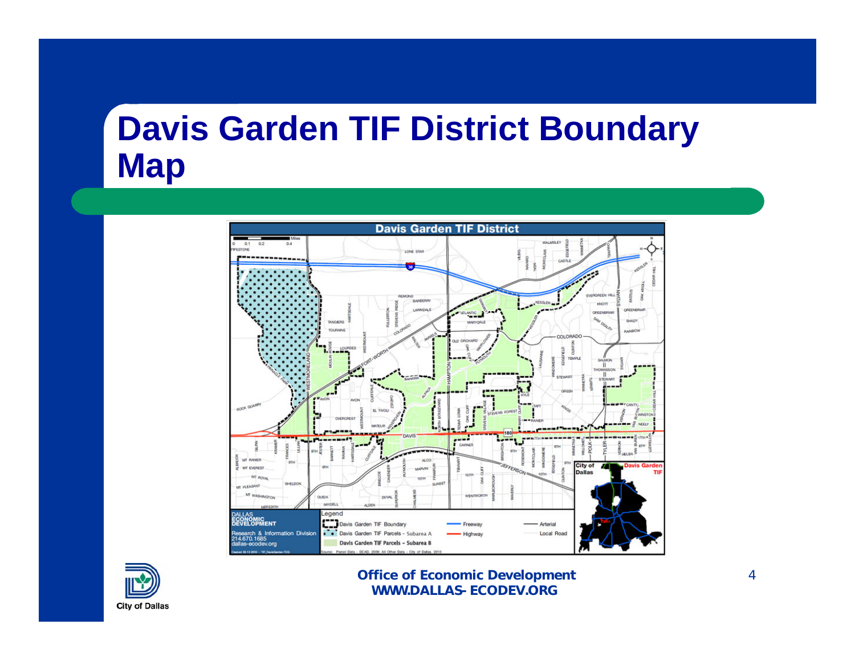# **Davis Garden TIF District Boundary Map**



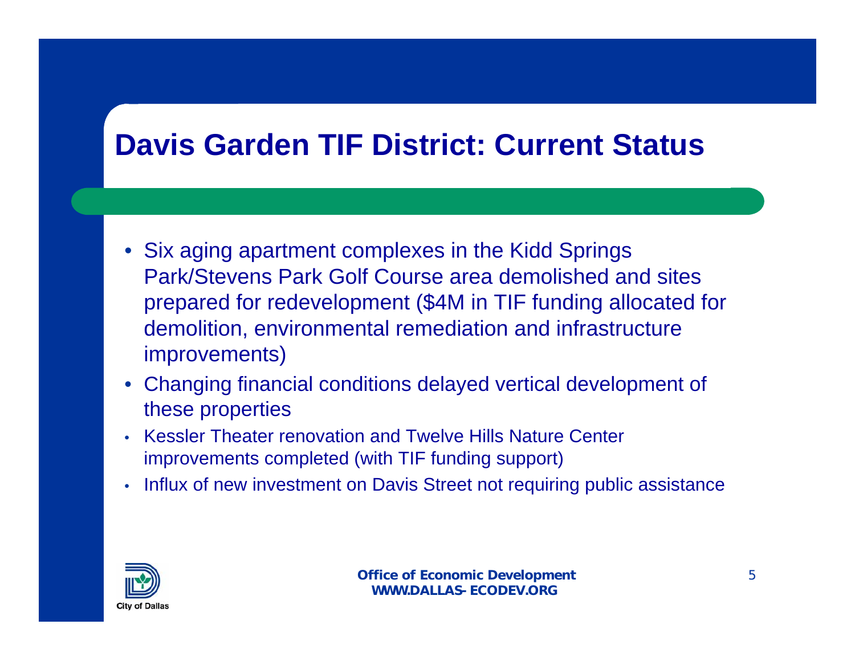#### **Davis Garden TIF District: Current Status**

- Six aging apartment complexes in the Kidd Springs Park/Stevens Park Golf Course area demolished and sites prepared for redevelopment (\$4M in TIF funding allocated for demolition, environmental remediation and infrastructure improvements)
- Changing financial conditions delayed vertical development of these properties
- Kessler Theater renovation and Twelve Hills Nature Center improvements completed (with TIF funding support)
- Influx of new investment on Davis Street not requiring public assistance

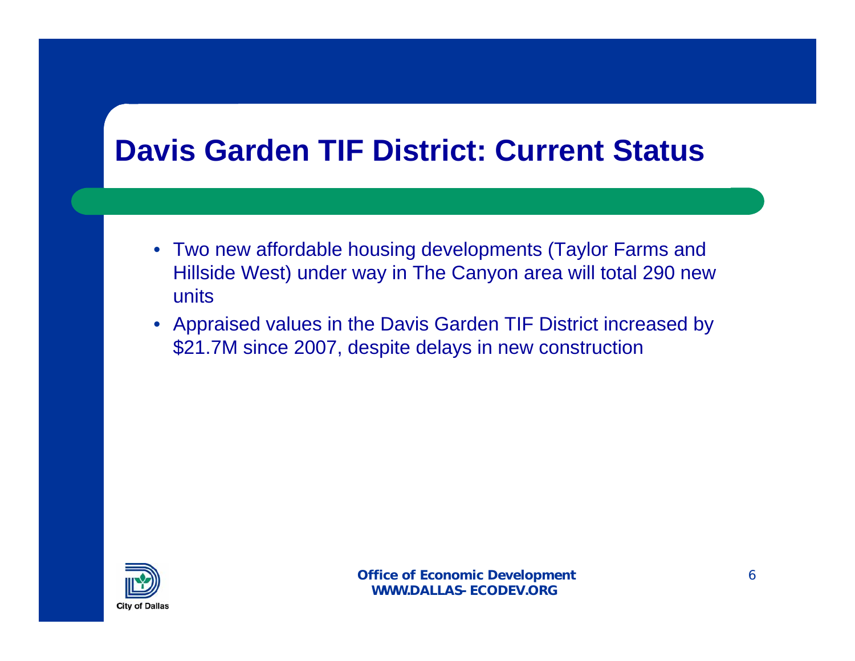## **Davis Garden TIF District: Current Status**

- Two new affordable housing developments (Taylor Farms and Hillside West) under way in The Canyon area will total 290 new units
- Appraised values in the Davis Garden TIF District increased by \$21.7M since 2007, despite delays in new construction

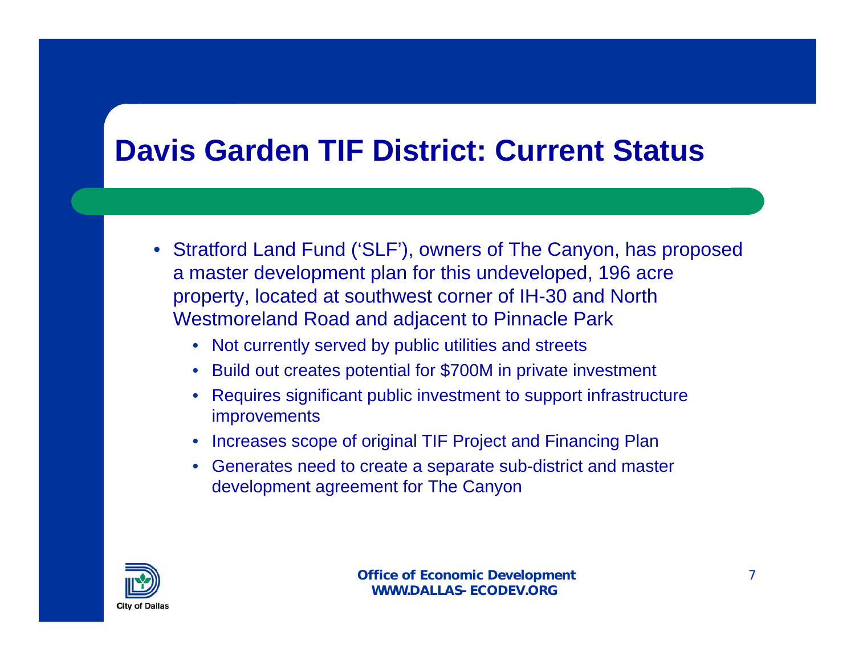## **Davis Garden TIF District: Current Status**

- Stratford Land Fund ('SLF'), owners of The Canyon, has proposed a master development plan for this undeveloped, 196 acre property, located at southwest corner of IH-30 and North Westmoreland Road and adjacent to Pinnacle Park
	- Not currently served by public utilities and streets
	- Build out creates potential for \$700M in private investment
	- Requires significant public investment to support infrastructure improvements
	- Increases scope of original TIF Project and Financing Plan
	- Generates need to create a separate sub-district and master development agreement for The Canyon

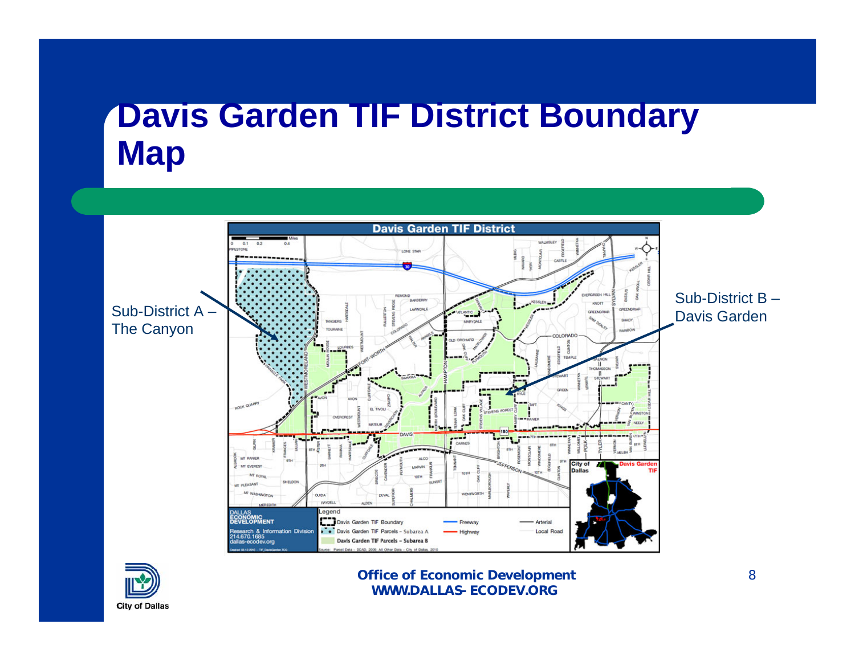# **Davis Garden TIF District Boundary Map**



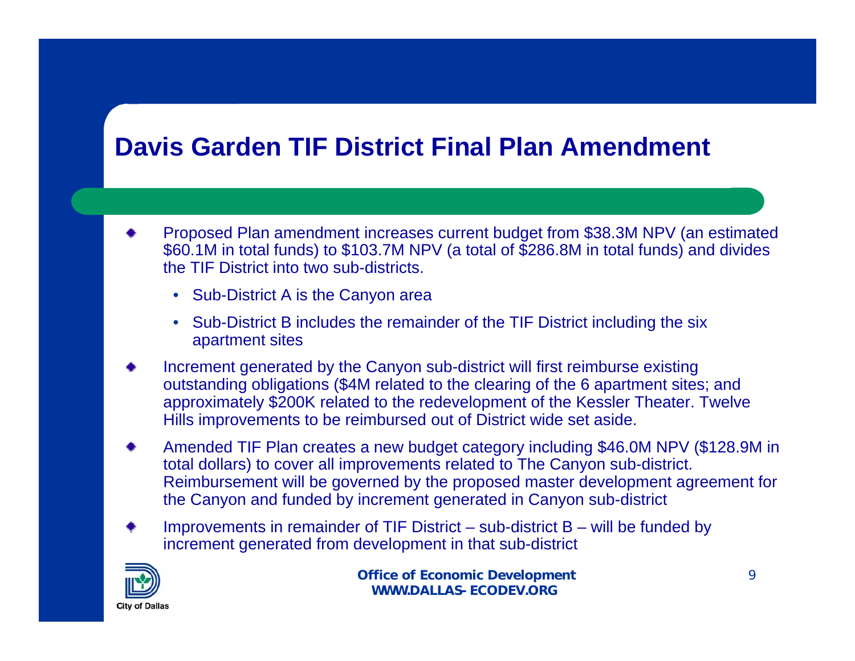#### **Davis Garden TIF District Final Plan Amendment**

- Proposed Plan amendment increases current budget from \$38.3M NPV (an estimated \$60.1M in total funds) to \$103.7M NPV (a total of \$286.8M in total funds) and divides the TIF District into two sub-districts.
	- Sub-District A is the Canyon area
	- Sub-District B includes the remainder of the TIF District including the six apartment sites
- Increment generated by the Canyon sub-district will first reimburse existing outstanding obligations (\$4M related to the clearing of the 6 apartment sites; and approximately \$200K related to the redevelopment of the Kessler Theater. Twelve Hills improvements to be reimbursed out of District wide set aside.
- Amended TIF Plan creates a new budget category including \$46.0M NPV (\$128.9M in total dollars) to cover all improvements related to The Canyon sub-district. Reimbursement will be governed by the proposed master development agreement for the Canyon and funded by increment generated in Canyon sub-district
- Improvements in remainder of TIF District sub-district  $B$  will be funded by increment generated from development in that sub-district

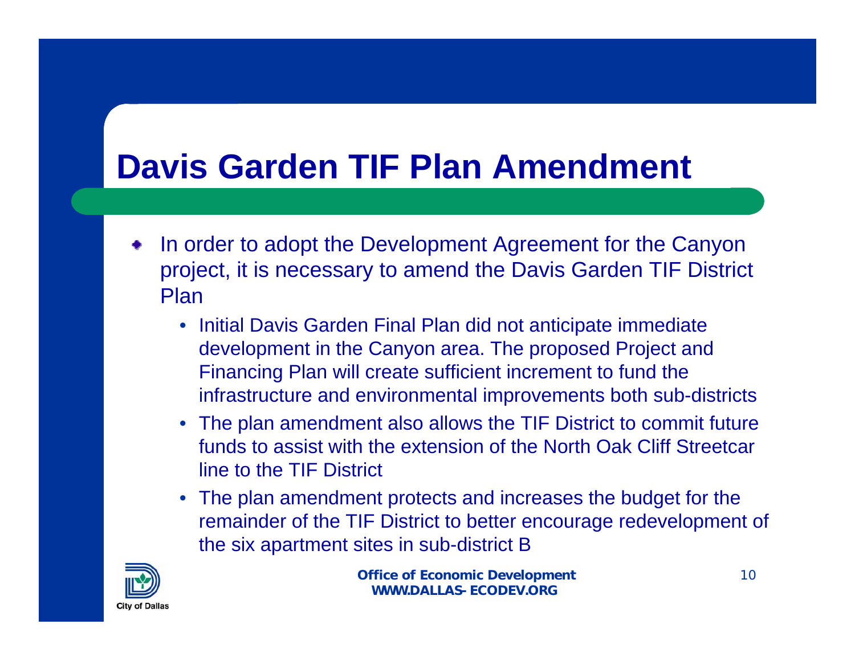# **Davis Garden TIF Plan Amendment**

- In order to adopt the Development Agreement for the Canyon project, it is necessary to amend the Davis Garden TIF District Plan
	- Initial Davis Garden Final Plan did not anticipate immediate development in the Canyon area. The proposed Project and Financing Plan will create sufficient increment to fund the infrastructure and environmental improvements both sub-districts
	- The plan amendment also allows the TIF District to commit future funds to assist with the extension of the North Oak Cliff Streetcar line to the TIF District
	- The plan amendment protects and increases the budget for the remainder of the TIF District to better encourage redevelopment of the six apartment sites in sub-district B

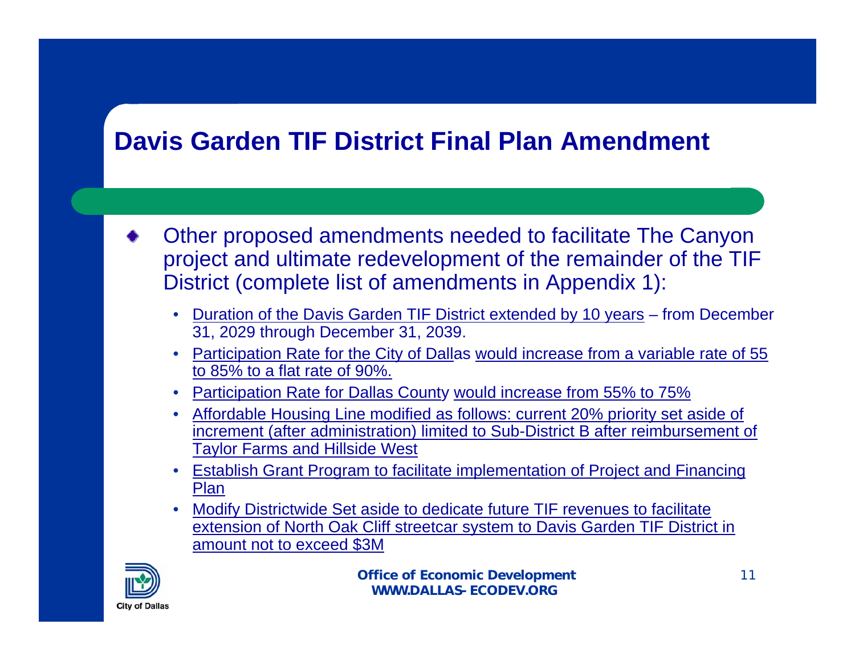#### **Davis Garden TIF District Final Plan Amendment**

- Other proposed amendments needed to facilitate The Canyon project and ultimate redevelopment of the remainder of the TIF District (complete list of amendments in Appendix 1):
	- Duration of the Davis Garden TIF District extended by 10 years from December 31, 2029 through December 31, 2039.
	- Participation Rate for the City of Dallas would increase from a variable rate of 55 to 85% to a flat rate of 90%.
	- Participation Rate for Dallas County would increase from 55% to 75%
	- Affordable Housing Line modified as follows: current 20% priority set aside of increment (after administration) limited to Sub-District B after reimbursement of Taylor Farms and Hillside West
	- Establish Grant Program to facilitate implementation of Project and Financing Plan
	- Modify Districtwide Set aside to dedicate future TIF revenues to facilitate extension of North Oak Cliff streetcar system to Davis Garden TIF District in amount not to exceed \$3M

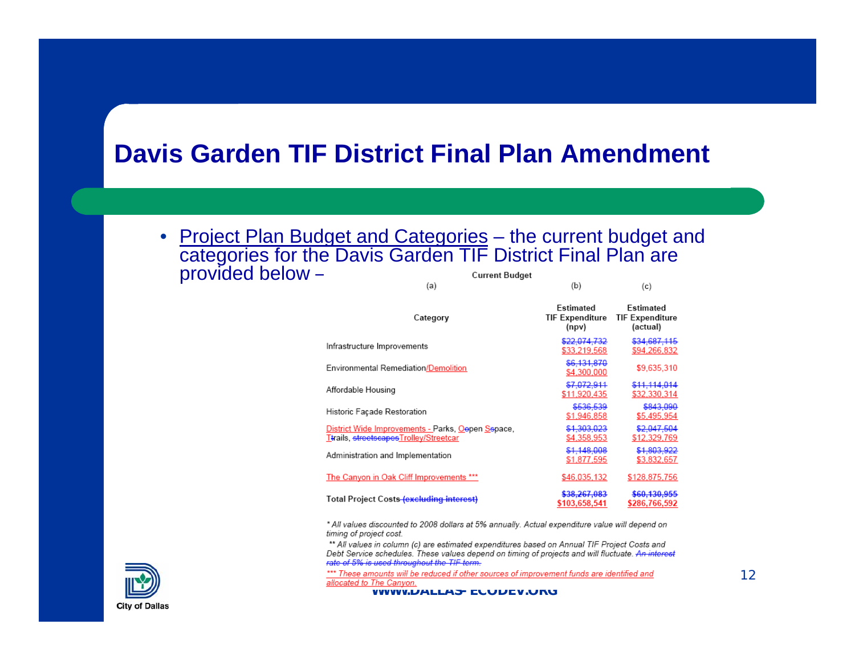#### **Davis Garden TIF District Final Plan Amendment**

• Project Plan Budget and Categories – the current budget and categories for the Davis Garden TIF District Final Plan are provided below – $\sqrt{2}$  $/h$  $\sqrt{2}$ 

| 153 J                                                                                       | $\sim$                                   | 161                                             |  |
|---------------------------------------------------------------------------------------------|------------------------------------------|-------------------------------------------------|--|
| Category                                                                                    | Estimated<br>TIF Expenditure<br>(npv)    | Estimated<br><b>TIF Expenditure</b><br>(actual) |  |
| Infrastructure Improvements                                                                 | \$22,074,732<br>\$33,219,568             | \$34,687,115<br>\$94,266,832                    |  |
| Environmental Remediation/Demolition                                                        | \$6,131,870<br>\$4,300,000               | \$9.635,310                                     |  |
| Affordable Housing                                                                          | \$7,072,911<br>\$11,920,435              | \$11,114,014<br>\$32,330,314                    |  |
| Historic Facade Restoration                                                                 | \$536,539<br>\$1,946,858                 | \$843,090<br>\$5,495,954                        |  |
| District Wide Improvements - Parks, Oepen Sepace,<br>Ttrails, streetscapesTrolley/Streetcar | \$1,303,023<br>\$4,358,953               | \$2.047.504<br>\$12,329,769                     |  |
| Administration and Implementation                                                           | \$1,148,008<br>\$1,877,595               | \$1,803,922<br>\$3,832,657                      |  |
| The Canyon in Oak Cliff Improvements ***                                                    | \$46,035,132                             | \$128,875.756                                   |  |
| Total Project Costs (excluding interest)                                                    | <del>\$38,267,083</del><br>\$103,658,541 | <del>\$60,130,955</del><br>\$286,766,592        |  |

\* All values discounted to 2008 dollars at 5% annually. Actual expenditure value will depend on timing of project cost.

\*\* All values in column (c) are estimated expenditures based on Annual TIF Project Costs and Debt Service schedules. These values depend on timing of projects and will fluctuate. An interest rate of 5% is used throughout the TIF term-

\*\*\* These amounts will be reduced if other sources of improvement funds are identified and<br>allocated to The Canyon.



**WWW.DALLAS-ECODEV.ORG**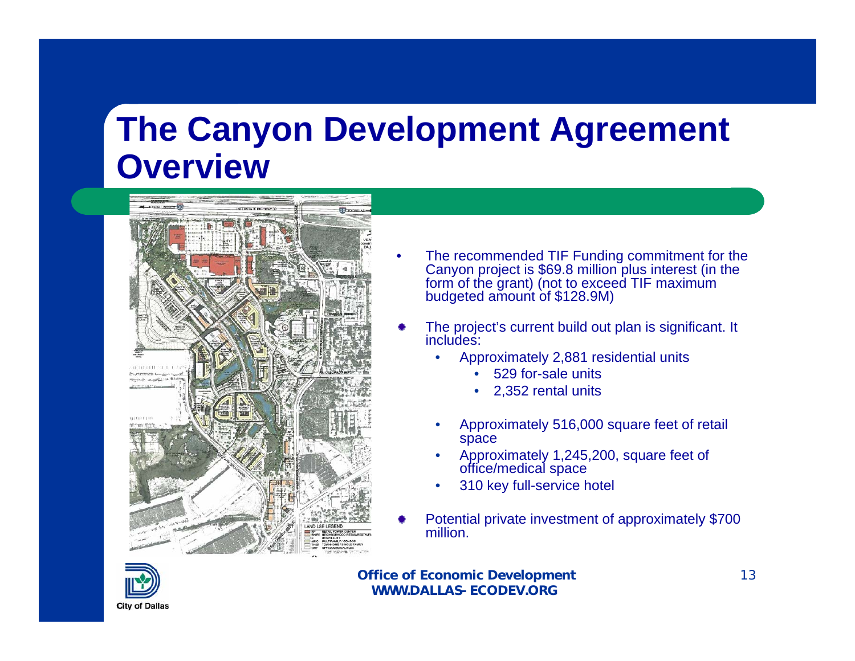

- The recommended TIF Funding commitment for the Canyon project is \$69.8 million plus interest (in the form of the grant) (not to exceed TIF maximum budgeted amount of \$128.9M)
- The project's current build out plan is significant. It includes:
	- Approximately 2,881 residential units
		- 529 for-sale units
		- 2,352 rental units
	- Approximately 516,000 square feet of retail space
	- Approximately 1,245,200, square feet of office/medical space
	- 310 key full-service hotel
- Potential private investment of approximately \$700 million.

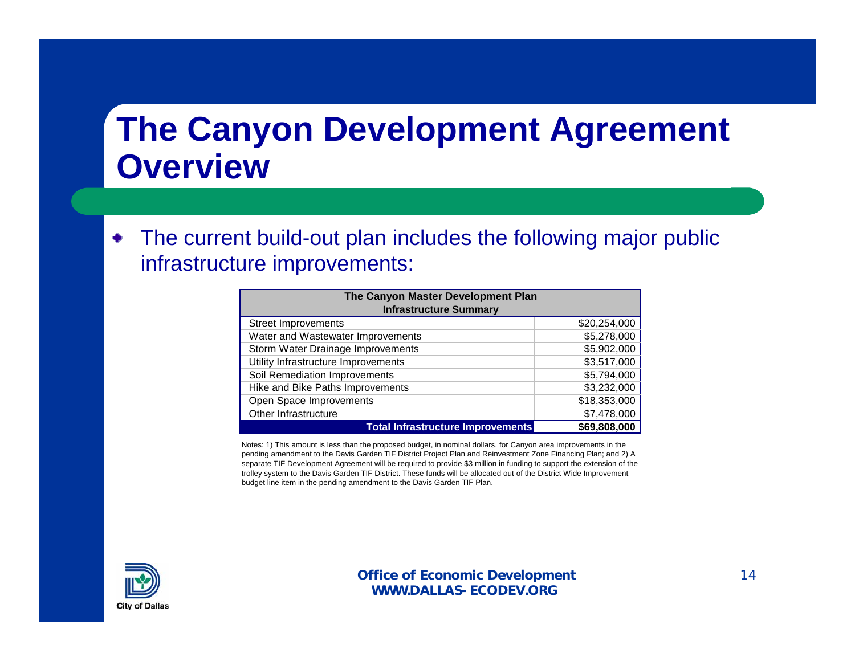The current build-out plan includes the following major public ۰ infrastructure improvements:

| The Canyon Master Development Plan       |              |  |  |  |  |
|------------------------------------------|--------------|--|--|--|--|
| <b>Infrastructure Summary</b>            |              |  |  |  |  |
| <b>Street Improvements</b>               | \$20,254,000 |  |  |  |  |
| Water and Wastewater Improvements        | \$5,278,000  |  |  |  |  |
| Storm Water Drainage Improvements        | \$5,902,000  |  |  |  |  |
| Utility Infrastructure Improvements      | \$3,517,000  |  |  |  |  |
| Soil Remediation Improvements            | \$5,794,000  |  |  |  |  |
| Hike and Bike Paths Improvements         | \$3,232,000  |  |  |  |  |
| Open Space Improvements                  | \$18,353,000 |  |  |  |  |
| Other Infrastructure                     | \$7,478,000  |  |  |  |  |
| <b>Total Infrastructure Improvements</b> | \$69,808,000 |  |  |  |  |

Notes: 1) This amount is less than the proposed budget, in nominal dollars, for Canyon area improvements in the pending amendment to the Davis Garden TIF District Project Plan and Reinvestment Zone Financing Plan; and 2) A separate TIF Development Agreement will be required to provide \$3 million in funding to support the extension of the trolley system to the Davis Garden TIF District. These funds will be allocated out of the District Wide Improvement budget line item in the pending amendment to the Davis Garden TIF Plan.

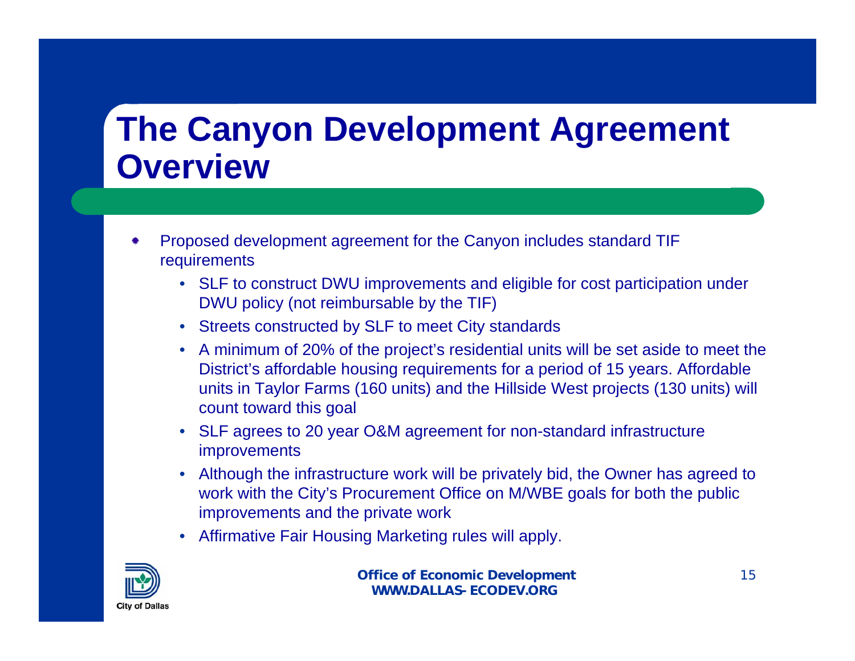- Proposed development agreement for the Canyon includes standard TIF requirements
	- SLF to construct DWU improvements and eligible for cost participation under DWU policy (not reimbursable by the TIF)
	- Streets constructed by SLF to meet City standards
	- A minimum of 20% of the project's residential units will be set aside to meet the District's affordable housing requirements for a period of 15 years. Affordable units in Taylor Farms (160 units) and the Hillside West projects (130 units) will count toward this goal
	- SLF agrees to 20 year O&M agreement for non-standard infrastructure improvements
	- Although the infrastructure work will be privately bid, the Owner has agreed to work with the City's Procurement Office on M/WBE goals for both the public improvements and the private work
	- Affirmative Fair Housing Marketing rules will apply.

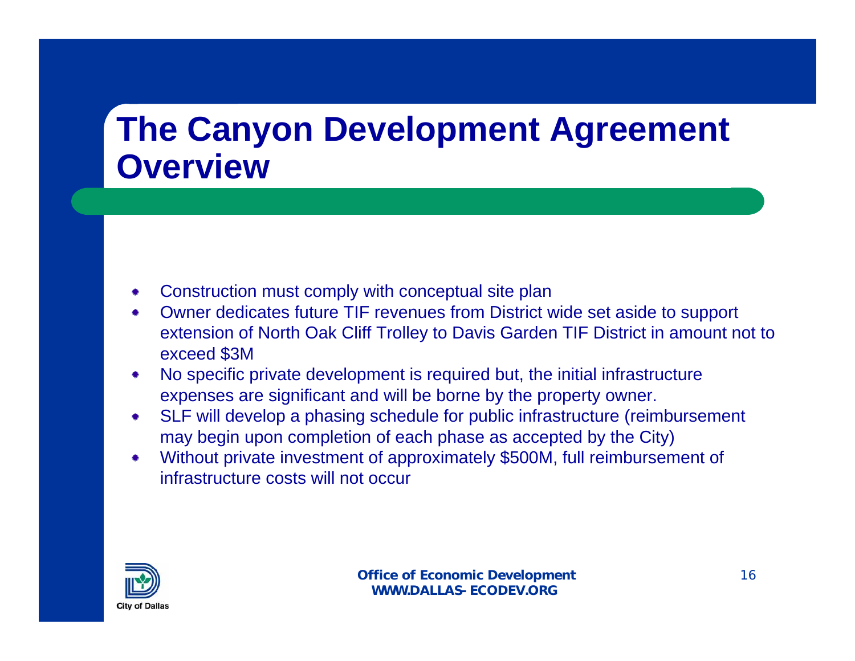- Construction must comply with conceptual site plan
- Owner dedicates future TIF revenues from District wide set aside to support extension of North Oak Cliff Trolley to Davis Garden TIF District in amount not to exceed \$3M
- No specific private development is required but, the initial infrastructure expenses are significant and will be borne by the property owner.
- SLF will develop a phasing schedule for public infrastructure (reimbursement may begin upon completion of each phase as accepted by the City)
- Without private investment of approximately \$500M, full reimbursement of infrastructure costs will not occur

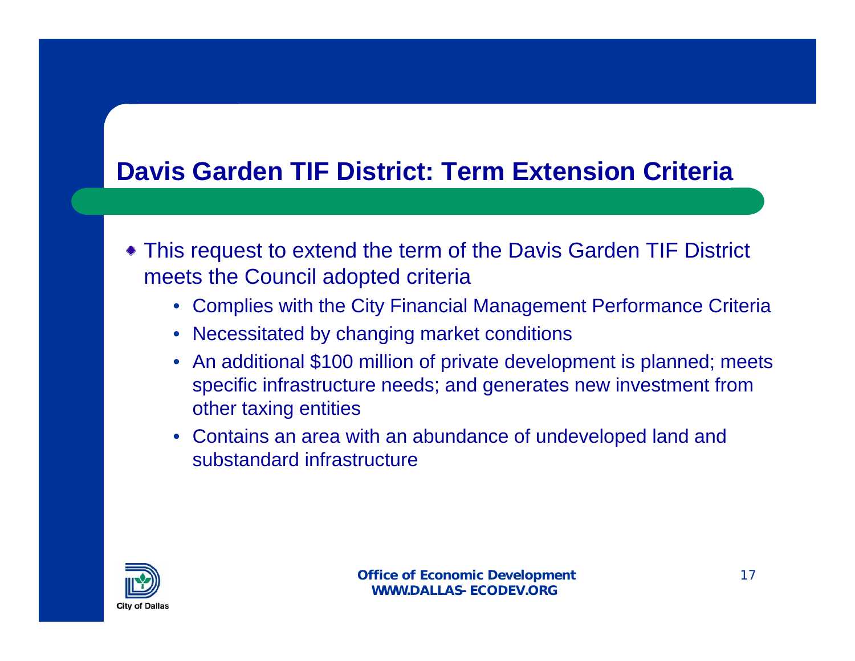#### **Davis Garden TIF District: Term Extension Criteria**

- This request to extend the term of the Davis Garden TIF District meets the Council adopted criteria
	- Complies with the City Financial Management Performance Criteria
	- Necessitated by changing market conditions
	- An additional \$100 million of private development is planned; meets specific infrastructure needs; and generates new investment from other taxing entities
	- Contains an area with an abundance of undeveloped land and substandard infrastructure

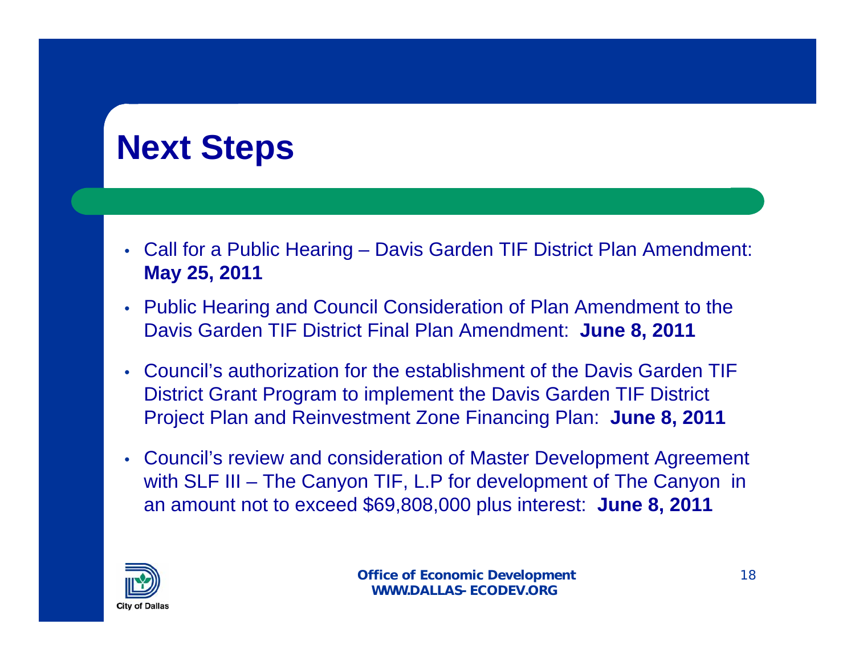# **Next Steps**

- Call for a Public Hearing Davis Garden TIF District Plan Amendment: **May 25, 2011**
- Public Hearing and Council Consideration of Plan Amendment to the Davis Garden TIF District Final Plan Amendment: **June 8, 2011**
- Council's authorization for the establishment of the Davis Garden TIF District Grant Program to implement the Davis Garden TIF District Project Plan and Reinvestment Zone Financing Plan: **June 8, 2011**
- Council's review and consideration of Master Development Agreement with SLF III – The Canyon TIF, L.P for development of The Canyon in an amount not to exceed \$69,808,000 plus interest: **June 8, 2011**

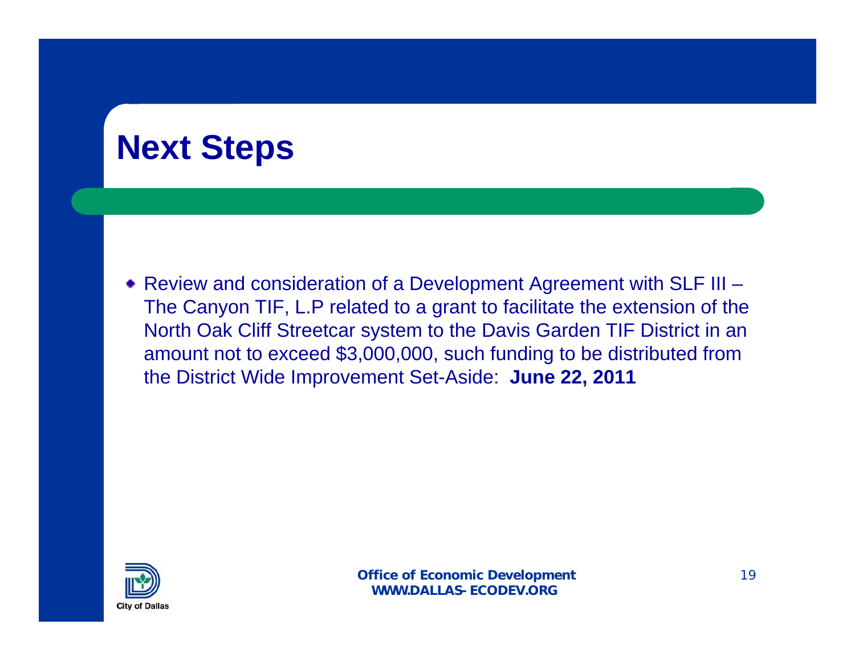# **Next Steps**

Review and consideration of a Development Agreement with SLF III – The Canyon TIF, L.P related to a grant to facilitate the extension of the North Oak Cliff Streetcar system to the Davis Garden TIF District in an amount not to exceed \$3,000,000, such funding to be distributed from the District Wide Improvement Set-Aside: **June 22, 2011**

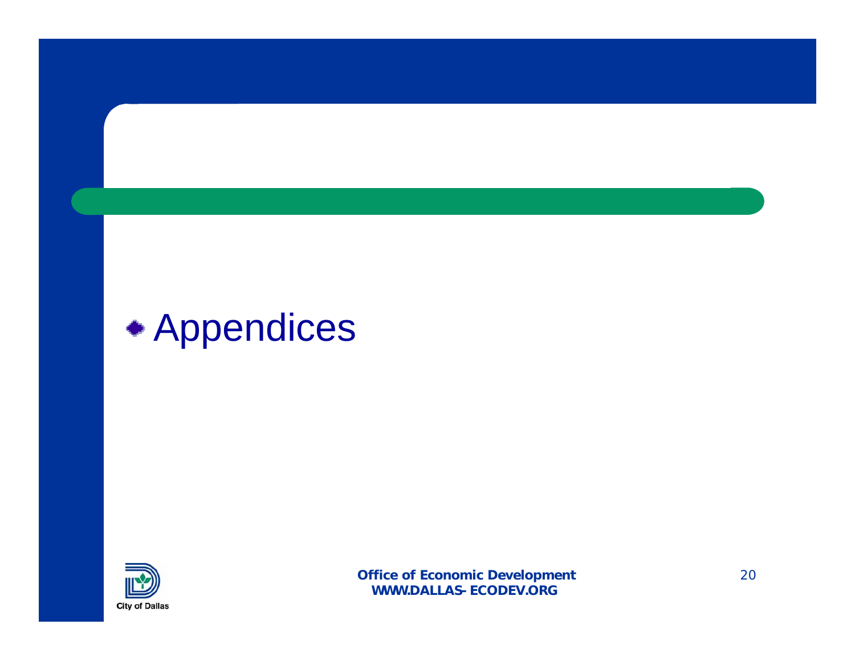# Appendices

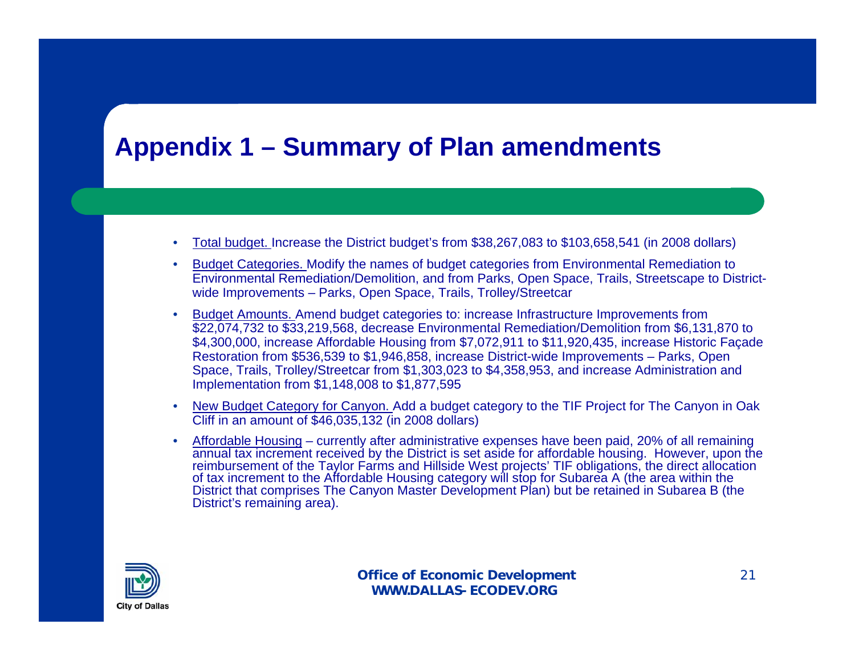#### **Appendix 1 – Summary of Plan amendments**

- Total budget. Increase the District budget's from \$38,267,083 to \$103,658,541 (in 2008 dollars)
- Budget Categories. Modify the names of budget categories from Environmental Remediation to Environmental Remediation/Demolition, and from Parks, Open Space, Trails, Streetscape to Districtwide Improvements – Parks, Open Space, Trails, Trolley/Streetcar
- Budget Amounts. Amend budget categories to: increase Infrastructure Improvements from \$22,074,732 to \$33,219,568, decrease Environmental Remediation/Demolition from \$6,131,870 to \$4,300,000, increase Affordable Housing from \$7,072,911 to \$11,920,435, increase Historic Façade Restoration from \$536,539 to \$1,946,858, increase District-wide Improvements – Parks, Open Space, Trails, Trolley/Streetcar from \$1,303,023 to \$4,358,953, and increase Administration and Implementation from \$1,148,008 to \$1,877,595
- New Budget Category for Canyon. Add a budget category to the TIF Project for The Canyon in Oak Cliff in an amount of \$46,035,132 (in 2008 dollars)
- Affordable Housing currently after administrative expenses have been paid, 20% of all remaining annual tax increment received by the District is set aside for affordable housing. However, upon the reimbursement of the Taylor Farms and Hillside West projects' TIF obligations, the direct allocation of tax increment to the Affordable Housing category will stop for Subarea A (the area within the District that comprises The Canyon Master Development Plan) but be retained in Subarea B (the District's remaining area).

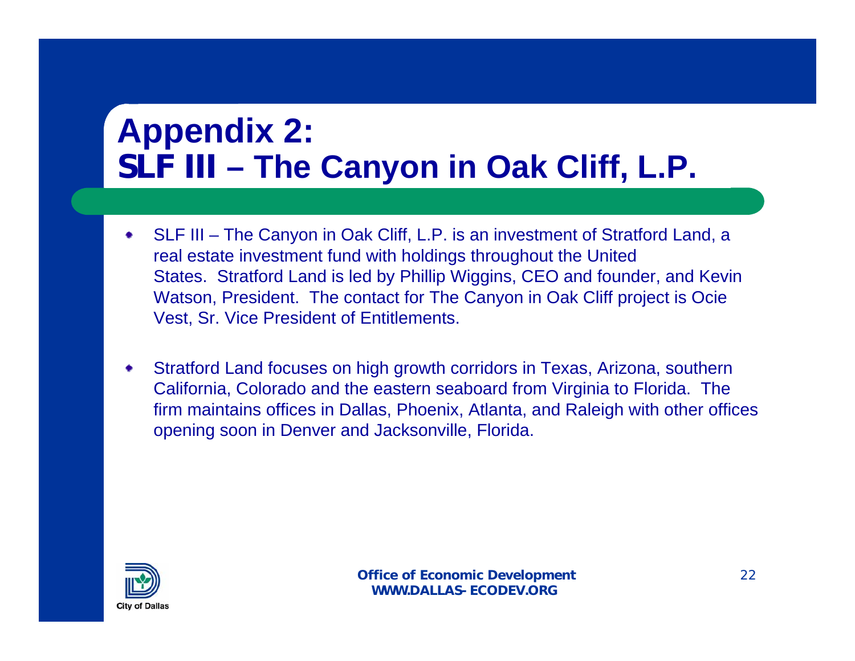# **Appendix 2: SLF III – The Canyon in Oak Cliff, L.P.**

- SLF III The Canyon in Oak Cliff, L.P. is an investment of Stratford Land, a ۰ real estate investment fund with holdings throughout the United States. Stratford Land is led by Phillip Wiggins, CEO and founder, and Kevin Watson, President. The contact for The Canyon in Oak Cliff project is Ocie Vest, Sr. Vice President of Entitlements.
- Stratford Land focuses on high growth corridors in Texas, Arizona, southern California, Colorado and the eastern seaboard from Virginia to Florida. The firm maintains offices in Dallas, Phoenix, Atlanta, and Raleigh with other offices opening soon in Denver and Jacksonville, Florida.

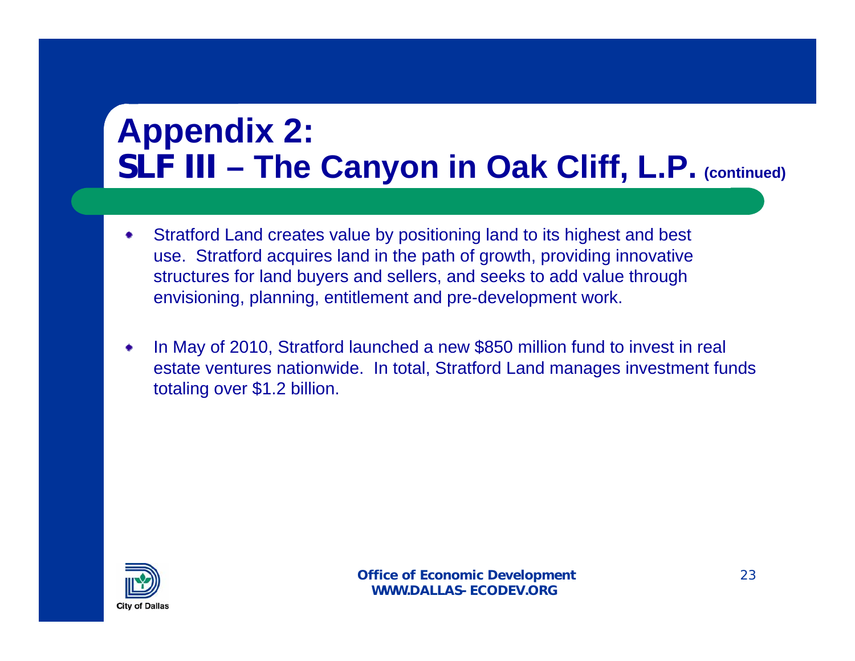# **Appendix 2: SLF III – The Canyon in Oak Cliff, L.P. (continued)**

- Stratford Land creates value by positioning land to its highest and best ۰ use. Stratford acquires land in the path of growth, providing innovative structures for land buyers and sellers, and seeks to add value through envisioning, planning, entitlement and pre-development work.
- In May of 2010, Stratford launched a new \$850 million fund to invest in real estate ventures nationwide. In total, Stratford Land manages investment funds totaling over \$1.2 billion.